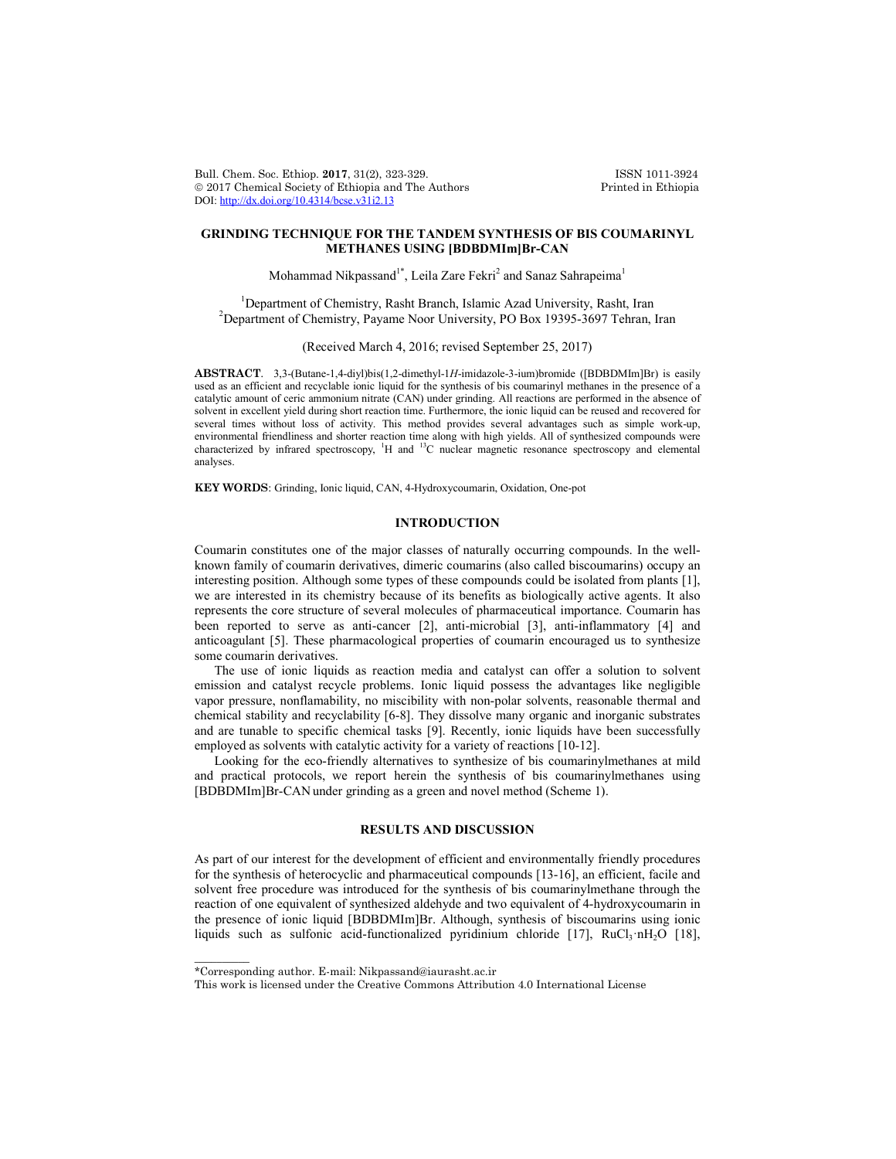Bull. Chem. Soc. Ethiop. 2017, 31(2), 323-329.<br>
© 2017 Chemical Society of Ethiopia and The Authors Printed in Ethiopia  $© 2017 Chemical Society of Ethiopia and The Authors$ DOI: http://dx.doi.org/10.4314/bcse.v31i2.13

## **GRINDING TECHNIQUE FOR THE TANDEM SYNTHESIS OF BIS COUMARINYL METHANES USING [BDBDMIm]Br-CAN**

Mohammad Nikpassand<sup>1\*</sup>, Leila Zare Fekri<sup>2</sup> and Sanaz Sahrapeima<sup>1</sup>

<sup>1</sup> Department of Chemistry, Rasht Branch, Islamic Azad University, Rasht, Iran <sup>2</sup> Department of Chemistry, Bayema Near University, PO Boy 19205, 2697 Tehran <sup>2</sup>Department of Chemistry, Payame Noor University, PO Box 19395-3697 Tehran, Iran

(Received March 4, 2016; revised September 25, 2017)

**ABSTRACT**. 3,3-(Butane-1,4-diyl)bis(1,2-dimethyl-1*H*-imidazole-3-ium)bromide ([BDBDMIm]Br) is easily used as an efficient and recyclable ionic liquid for the synthesis of bis coumarinyl methanes in the presence of a catalytic amount of ceric ammonium nitrate (CAN) under grinding. All reactions are performed in the absence of solvent in excellent yield during short reaction time. Furthermore, the ionic liquid can be reused and recovered for several times without loss of activity. This method provides several advantages such as simple work-up, environmental friendliness and shorter reaction time along with high yields. All of synthesized compounds were characterized by infrared spectroscopy, <sup>1</sup>H and <sup>13</sup>C nuclear magnetic resonance spectroscopy and elemental analyses.

**KEY WORDS**: Grinding, Ionic liquid, CAN, 4-Hydroxycoumarin, Oxidation, One-pot

# **INTRODUCTION**

Coumarin constitutes one of the major classes of naturally occurring compounds. In the wellknown family of coumarin derivatives, dimeric coumarins (also called biscoumarins) occupy an interesting position. Although some types of these compounds could be isolated from plants [1], we are interested in its chemistry because of its benefits as biologically active agents. It also represents the core structure of several molecules of pharmaceutical importance. Coumarin has been reported to serve as anti-cancer [2], anti-microbial [3], anti-inflammatory [4] and anticoagulant [5]. These pharmacological properties of coumarin encouraged us to synthesize some coumarin derivatives.

The use of ionic liquids as reaction media and catalyst can offer a solution to solvent emission and catalyst recycle problems. Ionic liquid possess the advantages like negligible vapor pressure, nonflamability, no miscibility with non-polar solvents, reasonable thermal and chemical stability and recyclability [6-8]. They dissolve many organic and inorganic substrates and are tunable to specific chemical tasks [9]. Recently, ionic liquids have been successfully employed as solvents with catalytic activity for a variety of reactions [10-12].

Looking for the eco-friendly alternatives to synthesize of bis coumarinylmethanes at mild and practical protocols, we report herein the synthesis of bis coumarinylmethanes using [BDBDMIm]Br-CAN under grinding as a green and novel method (Scheme 1).

## **RESULTS AND DISCUSSION**

As part of our interest for the development of efficient and environmentally friendly procedures for the synthesis of heterocyclic and pharmaceutical compounds [13-16], an efficient, facile and solvent free procedure was introduced for the synthesis of bis coumarinylmethane through the reaction of one equivalent of synthesized aldehyde and two equivalent of 4-hydroxycoumarin in the presence of ionic liquid [BDBDMIm]Br. Although, synthesis of biscoumarins using ionic liquids such as sulfonic acid-functionalized pyridinium chloride  $[17]$ , RuCl<sub>3</sub>·nH<sub>2</sub>O  $[18]$ ,

 $\overline{\phantom{a}}$ 

<sup>\*</sup>Corresponding author. E-mail: Nikpassand@iaurasht.ac.ir

This work is licensed under the Creative Commons Attribution 4.0 International License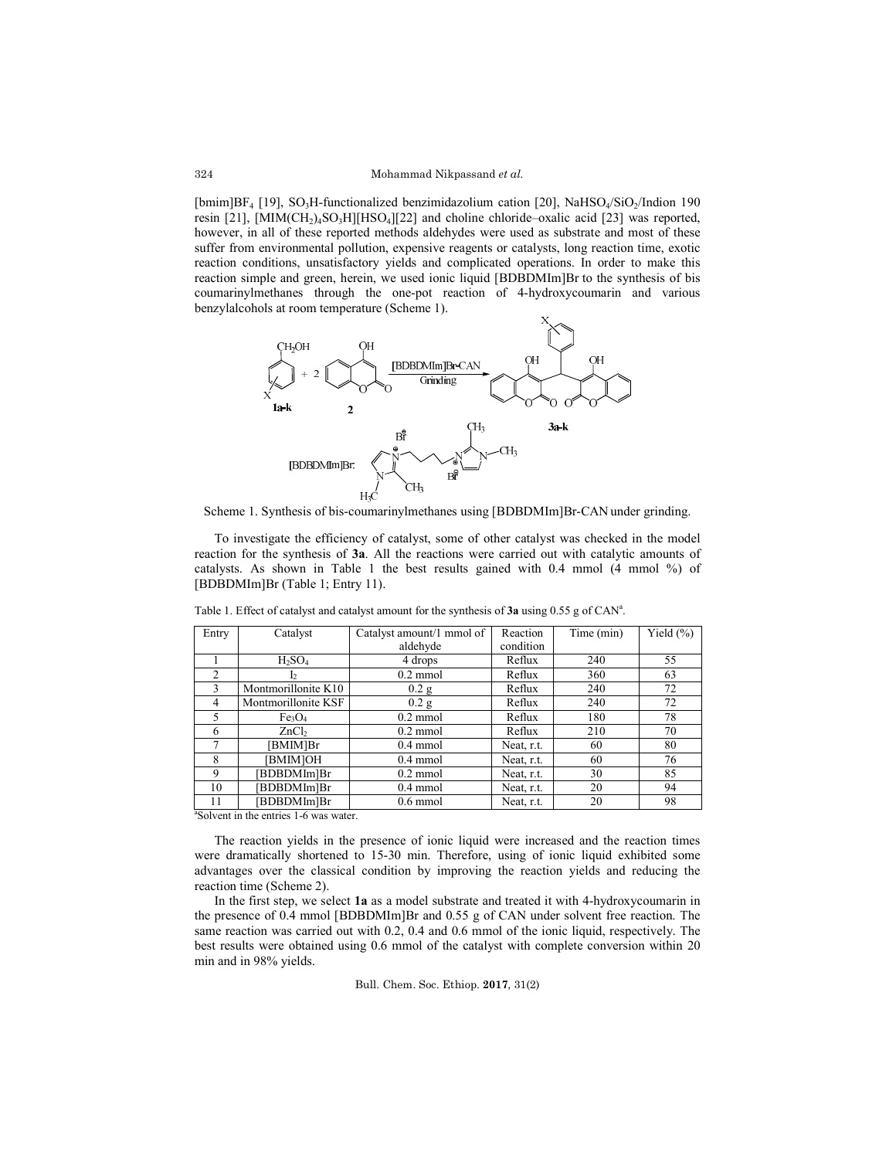[bmim]BF<sub>4</sub> [19], SO<sub>3</sub>H-functionalized benzimidazolium cation [20], NaHSO<sub>4</sub>/SiO<sub>2</sub>/Indion 190 resin [21], [MIM(CH<sub>2</sub>)<sub>4</sub>SO<sub>3</sub>H][HSO<sub>4</sub>][22] and choline chloride–oxalic acid [23] was reported, however, in all of these reported methods aldehydes were used as substrate and most of these suffer from environmental pollution, expensive reagents or catalysts, long reaction time, exotic reaction conditions, unsatisfactory yields and complicated operations. In order to make this reaction simple and green, herein, we used ionic liquid [BDBDMIm]Br to the synthesis of bis coumarinylmethanes through the one-pot reaction of 4-hydroxycoumarin and various benzylalcohols at room temperature (Scheme 1).



Scheme 1. Synthesis of bis-coumarinylmethanes using [BDBDMIm]Br-CAN under grinding.

To investigate the efficiency of catalyst, some of other catalyst was checked in the model reaction for the synthesis of **3a**. All the reactions were carried out with catalytic amounts of catalysts. As shown in Table 1 the best results gained with 0.4 mmol (4 mmol %) of [BDBDMIm]Br (Table 1; Entry 11).

| Entry                 | Catalyst                       | Catalyst amount/1 mmol of<br>aldehyde | Reaction<br>condition | Time (min) | Yield $(\% )$ |
|-----------------------|--------------------------------|---------------------------------------|-----------------------|------------|---------------|
|                       |                                |                                       |                       |            |               |
|                       | $H_2SO_4$                      | 4 drops                               | Reflux                | 240        | 55            |
| 2                     |                                | $0.2$ mmol                            | Reflux                | 360        | 63            |
| 3                     | Montmorillonite K10            | 0.2 <sub>g</sub>                      | Reflux                | 240        | 72            |
| 4                     | Montmorillonite KSF            | 0.2 g                                 | Reflux                | 240        | 72            |
| 5                     | Fe <sub>3</sub> O <sub>4</sub> | $0.2$ mmol                            | Reflux                | 180        | 78            |
| 6                     | ZnCb                           | $0.2$ mmol                            | Reflux                | 210        | 70            |
| 7                     | [BMIM]Br                       | $0.4$ mmol                            | Neat, r.t.            | 60         | 80            |
| 8                     | <b>BMIMJOH</b>                 | $0.4$ mmol                            | Neat, r.t.            | 60         | 76            |
| 9                     | BDBDMIm]Br                     | $0.2$ mmol                            | Neat, r.t.            | 30         | 85            |
| 10                    | BDBDMIm]Br                     | $0.4$ mmol                            | Neat, r.t.            | 20         | 94            |
| 11<br>20 <sup>2</sup> | [BDBDMIm]Br                    | $0.6$ mmol                            | Neat, r.t.            | 20         | 98            |

Table 1. Effect of catalyst and catalyst amount for the synthesis of 3a using 0.55 g of CAN<sup>a</sup>.

a Solvent in the entries 1-6 was water.

The reaction yields in the presence of ionic liquid were increased and the reaction times were dramatically shortened to 15-30 min. Therefore, using of ionic liquid exhibited some advantages over the classical condition by improving the reaction yields and reducing the reaction time (Scheme 2).

In the first step, we select **1a** as a model substrate and treated it with 4-hydroxycoumarin in the presence of 0.4 mmol [BDBDMIm]Br and 0.55 g of CAN under solvent free reaction. The same reaction was carried out with 0.2, 0.4 and 0.6 mmol of the ionic liquid, respectively. The best results were obtained using 0.6 mmol of the catalyst with complete conversion within 20 min and in 98% yields.

Bull. Chem. Soc. Ethiop. **2017**, 31(2)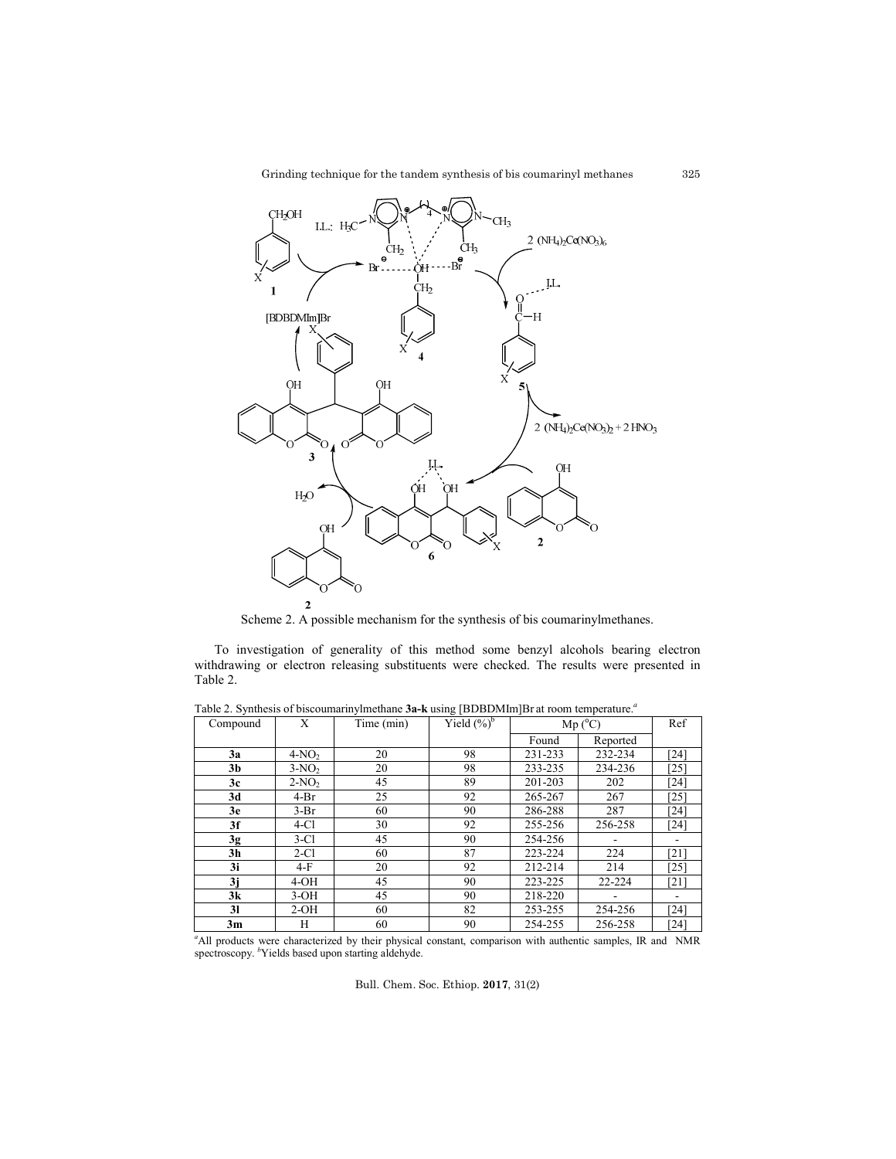Grinding technique for the tandem synthesis of bis coumarinyl methanes



Scheme 2. A possible mechanism for the synthesis of bis coumarinylmethanes.

To investigation of generality of this method some benzyl alcohols bearing electron withdrawing or electron releasing substituents were checked. The results were presented in Table 2.

| Compound       | X       | Time (min) | Yield $(\%)^b$ | $Mp(^{o}C)$ |          | Ref                |
|----------------|---------|------------|----------------|-------------|----------|--------------------|
|                |         |            |                | Found       | Reported |                    |
| 3a             | $4-NO2$ | 20         | 98             | 231-233     | 232-234  | [24]               |
| 3b             | $3-NO2$ | 20         | 98             | 233-235     | 234-236  | [25]               |
| 3c             | $2-NO2$ | 45         | 89             | 201-203     | 202      | [24]               |
| 3d             | $4-Br$  | 25         | 92             | 265-267     | 267      | $[25]$             |
| 3e             | $3-Br$  | 60         | 90             | 286-288     | 287      | [24]               |
| 3f             | $4-C1$  | 30         | 92             | 255-256     | 256-258  | $\lceil 24 \rceil$ |
| 3g             | $3-C1$  | 45         | 90             | 254-256     |          |                    |
| 3 <sub>h</sub> | $2-C1$  | 60         | 87             | 223-224     | 224      | [21]               |
| 3i             | $4-F$   | 20         | 92             | 212-214     | 214      | [25]               |
| 3j             | $4-OH$  | 45         | 90             | 223-225     | 22-224   | [21]               |
| 3k             | $3-OH$  | 45         | 90             | 218-220     |          |                    |
| 31             | $2-OH$  | 60         | 82             | 253-255     | 254-256  | [24]               |
| 3m             | H       | 60         | 90             | 254-255     | 256-258  | [24]               |

Table 2. Synthesis of biscoumarinylmethane **3a-k** using [BDBDMIm]Br at room temperature. *a*

<sup>a</sup>All products were characterized by their physical constant, comparison with authentic samples, IR and NMR spectroscopy. <sup>b</sup>Yields based upon starting aldehyde.

Bull. Chem. Soc. Ethiop. **2017**, 31(2)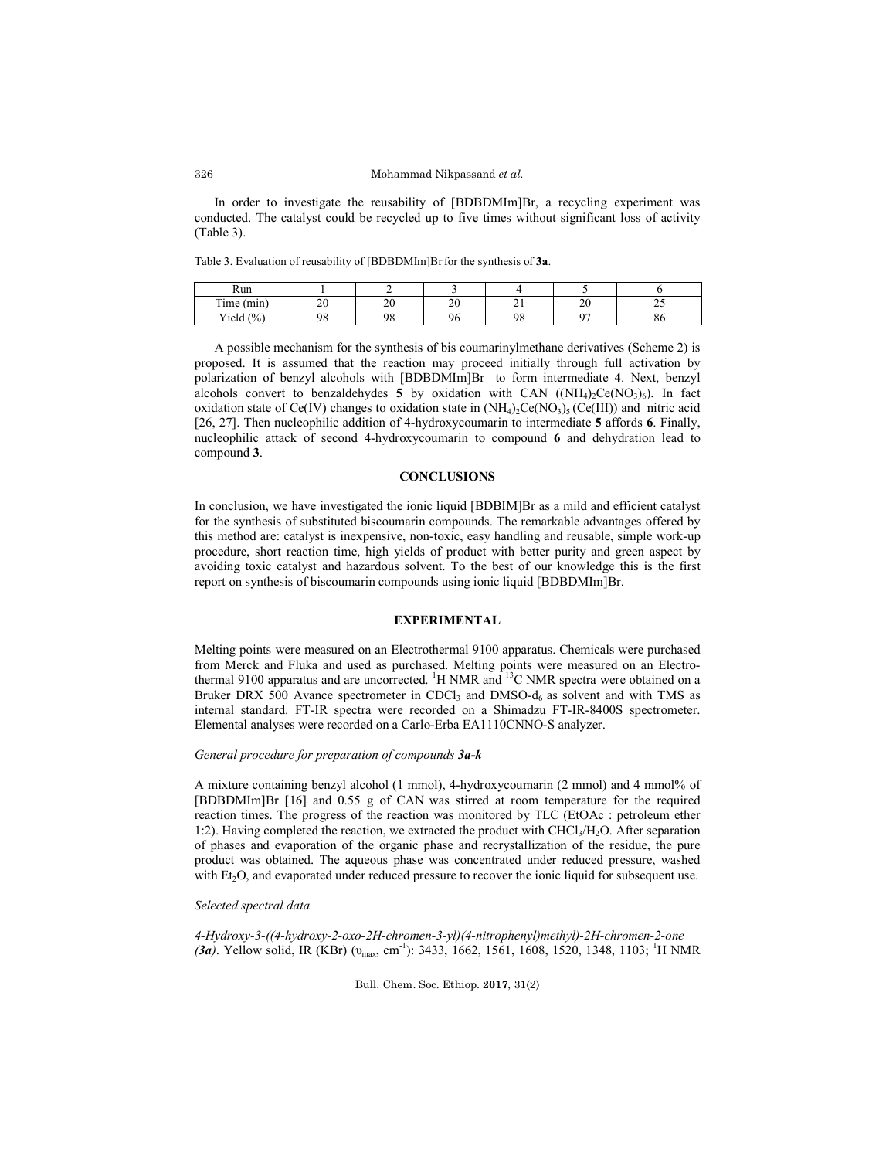#### Mohammad Nikpassand *et al.*

In order to investigate the reusability of [BDBDMIm]Br, a recycling experiment was conducted. The catalyst could be recycled up to five times without significant loss of activity (Table 3).

Table 3. Evaluation of reusability of [BDBDMIm]Brfor the synthesis of **3a**.

| Run                              |         |                    |          |          |         |          |
|----------------------------------|---------|--------------------|----------|----------|---------|----------|
| m.<br>(m <sub>1</sub> )<br>1 ime | o٥<br>∸ | $\mathcal{L}$<br>∸ | o٥<br>∠∪ | - -      | o۵<br>∼ | <u>_</u> |
| (0/2)<br>Yield                   | o٥      | QQ                 | 96       | o٥<br>٠. | $\sim$  | οu       |

A possible mechanism for the synthesis of bis coumarinylmethane derivatives (Scheme 2) is proposed. It is assumed that the reaction may proceed initially through full activation by polarization of benzyl alcohols with [BDBDMIm]Br to form intermediate **4**. Next, benzyl alcohols convert to benzaldehydes 5 by oxidation with CAN  $((NH_4)_2Ce(NO_3)_6)$ . In fact oxidation state of Ce(IV) changes to oxidation state in  $(NH<sub>4</sub>)<sub>2</sub>Ce(NO<sub>3</sub>)<sub>5</sub> (Ce(III))$  and nitric acid [26, 27]. Then nucleophilic addition of 4-hydroxycoumarin to intermediate **5** affords **6**. Finally, nucleophilic attack of second 4-hydroxycoumarin to compound **6** and dehydration lead to compound **3**.

### **CONCLUSIONS**

In conclusion, we have investigated the ionic liquid [BDBIM]Br as a mild and efficient catalyst for the synthesis of substituted biscoumarin compounds. The remarkable advantages offered by this method are: catalyst is inexpensive, non-toxic, easy handling and reusable, simple work-up procedure, short reaction time, high yields of product with better purity and green aspect by avoiding toxic catalyst and hazardous solvent. To the best of our knowledge this is the first report on synthesis of biscoumarin compounds using ionic liquid [BDBDMIm]Br.

#### **EXPERIMENTAL**

Melting points were measured on an Electrothermal 9100 apparatus. Chemicals were purchased from Merck and Fluka and used as purchased. Melting points were measured on an Electrothermal 9100 apparatus and are uncorrected.  $\rm{^{1}H}$  NMR and  $\rm{^{13}C}$  NMR spectra were obtained on a Bruker DRX 500 Avance spectrometer in CDCl<sub>3</sub> and DMSO- $d_6$  as solvent and with TMS as internal standard. FT-IR spectra were recorded on a Shimadzu FT-IR-8400S spectrometer. Elemental analyses were recorded on a Carlo-Erba EA1110CNNO-S analyzer.

#### *General procedure for preparation of compounds 3a-k*

A mixture containing benzyl alcohol (1 mmol), 4-hydroxycoumarin (2 mmol) and 4 mmol% of [BDBDMIm]Br [16] and 0.55 g of CAN was stirred at room temperature for the required reaction times. The progress of the reaction was monitored by TLC (EtOAc : petroleum ether 1:2). Having completed the reaction, we extracted the product with  $CHCl<sub>3</sub>/H<sub>2</sub>O$ . After separation of phases and evaporation of the organic phase and recrystallization of the residue, the pure product was obtained. The aqueous phase was concentrated under reduced pressure, washed with Et<sub>2</sub>O, and evaporated under reduced pressure to recover the ionic liquid for subsequent use.

### *Selected spectral data*

*4-Hydroxy-3-((4-hydroxy-2-oxo-2H-chromen-3-yl)(4-nitrophenyl)methyl)-2H-chromen-2-one (3a)*. Yellow solid, IR (KBr) ( $v_{\text{max}}$ , cm<sup>-1</sup>): 3433, 1662, 1561, 1608, 1520, 1348, 1103; <sup>1</sup>H NMR

Bull. Chem. Soc. Ethiop. **2017**, 31(2)

326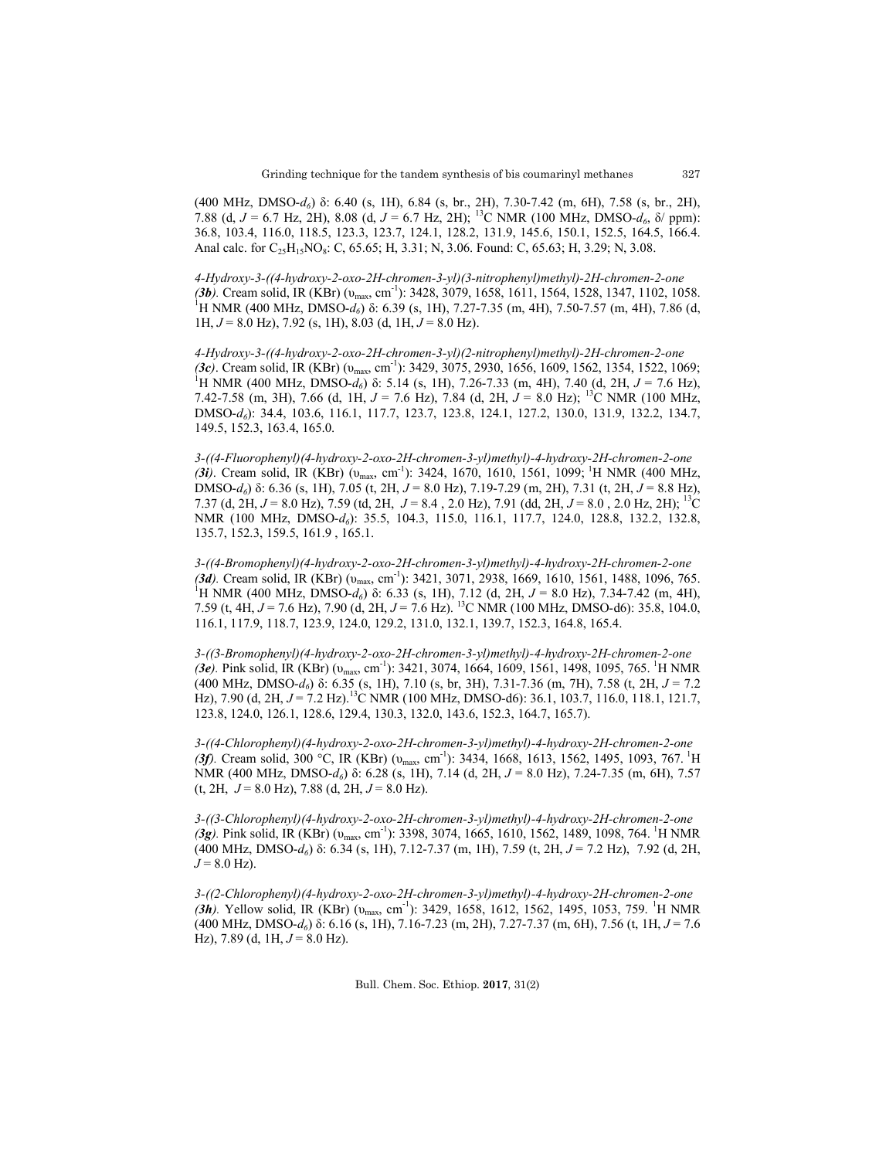(400 MHz, DMSO-*d6*) δ: 6.40 (s, 1H), 6.84 (s, br., 2H), 7.30-7.42 (m, 6H), 7.58 (s, br., 2H), 7.88 (d, *J* = 6.7 Hz, 2H), 8.08 (d, *J* = 6.7 Hz, 2H); 13C NMR (100 MHz, DMSO-*d6*, δ/ ppm): 36.8, 103.4, 116.0, 118.5, 123.3, 123.7, 124.1, 128.2, 131.9, 145.6, 150.1, 152.5, 164.5, 166.4. Anal calc. for C<sub>25</sub>H<sub>15</sub>NO<sub>8</sub>: C, 65.65; H, 3.31; N, 3.06. Found: C, 65.63; H, 3.29; N, 3.08.

*4-Hydroxy-3-((4-hydroxy-2-oxo-2H-chromen-3-yl)(3-nitrophenyl)methyl)-2H-chromen-2-one (3b).* Cream solid, IR (KBr) (υmax, cm-1 ): 3428, 3079, 1658, 1611, 1564, 1528, 1347, 1102, 1058. 1 H NMR (400 MHz, DMSO-*d6*) δ: 6.39 (s, 1H), 7.27-7.35 (m, 4H), 7.50-7.57 (m, 4H), 7.86 (d, 1H, *J* = 8.0 Hz), 7.92 (s, 1H), 8.03 (d, 1H, *J* = 8.0 Hz).

*4-Hydroxy-3-((4-hydroxy-2-oxo-2H-chromen-3-yl)(2-nitrophenyl)methyl)-2H-chromen-2-one (3c)*. Cream solid, IR (KBr) (υmax, cm-1 ): 3429, 3075, 2930, 1656, 1609, 1562, 1354, 1522, 1069; 1 H NMR (400 MHz, DMSO-*d6*) δ: 5.14 (s, 1H), 7.26-7.33 (m, 4H), 7.40 (d, 2H, *J* = 7.6 Hz), 7.42-7.58 (m, 3H), 7.66 (d, 1H,  $J = 7.6$  Hz), 7.84 (d, 2H,  $J = 8.0$  Hz); <sup>13</sup>C NMR (100 MHz, DMSO-*d6*): 34.4, 103.6, 116.1, 117.7, 123.7, 123.8, 124.1, 127.2, 130.0, 131.9, 132.2, 134.7, 149.5, 152.3, 163.4, 165.0.

*3-((4-Fluorophenyl)(4-hydroxy-2-oxo-2H-chromen-3-yl)methyl)-4-hydroxy-2H-chromen-2-one (3i)*. Cream solid, IR (KBr) ( $v_{\text{max}}$ , cm<sup>-1</sup>): 3424, 1670, 1610, 1561, 1099; <sup>1</sup>H NMR (400 MHz, DMSO-*d6*) δ: 6.36 (s, 1H), 7.05 (t, 2H, *J* = 8.0 Hz), 7.19-7.29 (m, 2H), 7.31 (t, 2H, *J* = 8.8 Hz), 7.37 (d, 2H, *J* = 8.0 Hz), 7.59 (td, 2H, *J* = 8.4 , 2.0 Hz), 7.91 (dd, 2H, *J* = 8.0 , 2.0 Hz, 2H); 13C NMR (100 MHz, DMSO-*d6*): 35.5, 104.3, 115.0, 116.1, 117.7, 124.0, 128.8, 132.2, 132.8, 135.7, 152.3, 159.5, 161.9 , 165.1.

*3-((4-Bromophenyl)(4-hydroxy-2-oxo-2H-chromen-3-yl)methyl)-4-hydroxy-2H-chromen-2-one (3d).* Cream solid, IR (KBr) (υmax, cm-1 ): 3421, 3071, 2938, 1669, 1610, 1561, 1488, 1096, 765. <sup>1</sup> <sup>1</sup>H NMR (400 MHz, DMSO-*d*<sub>6</sub>) δ: 6.33 (s, 1H), 7.12 (d, 2H, *J* = 8.0 Hz), 7.34-7.42 (m, 4H), 7.59 (t, 4H, *J* = 7.6 Hz), 7.90 (d, 2H, *J* = 7.6 Hz). 13C NMR (100 MHz, DMSO-d6): 35.8, 104.0, 116.1, 117.9, 118.7, 123.9, 124.0, 129.2, 131.0, 132.1, 139.7, 152.3, 164.8, 165.4.

*3-((3-Bromophenyl)(4-hydroxy-2-oxo-2H-chromen-3-yl)methyl)-4-hydroxy-2H-chromen-2-one (3e*). Pink solid, IR (KBr) ( $v_{\text{max}}$ , cm<sup>-1</sup>): 3421, 3074, 1664, 1609, 1561, 1498, 1095, 765. <sup>1</sup>H NMR (400 MHz, DMSO-*d6*) δ: 6.35 (s, 1H), 7.10 (s, br, 3H), 7.31-7.36 (m, 7H), 7.58 (t, 2H, *J* = 7.2 Hz), 7.90 (d, 2H, *J* = 7.2 Hz).<sup>13</sup>C NMR (100 MHz, DMSO-d6): 36.1, 103.7, 116.0, 118.1, 121.7, 123.8, 124.0, 126.1, 128.6, 129.4, 130.3, 132.0, 143.6, 152.3, 164.7, 165.7).

*3-((4-Chlorophenyl)(4-hydroxy-2-oxo-2H-chromen-3-yl)methyl)-4-hydroxy-2H-chromen-2-one (3f).* Cream solid, 300 °C, IR (KBr) ( $v_{\text{max}}$ , cm<sup>-1</sup>): 3434, 1668, 1613, 1562, 1495, 1093, 767. <sup>1</sup>H NMR (400 MHz, DMSO-*d6*) δ: 6.28 (s, 1H), 7.14 (d, 2H, *J* = 8.0 Hz), 7.24-7.35 (m, 6H), 7.57  $(t, 2H, J = 8.0 \text{ Hz})$ , 7.88  $(d, 2H, J = 8.0 \text{ Hz})$ .

*3-((3-Chlorophenyl)(4-hydroxy-2-oxo-2H-chromen-3-yl)methyl)-4-hydroxy-2H-chromen-2-one (3g)*. Pink solid, IR (KBr) ( $v_{\text{max}}$ , cm<sup>-1</sup>): 3398, 3074, 1665, 1610, 1562, 1489, 1098, 764. <sup>1</sup>H NMR (400 MHz, DMSO-*d6*) δ: 6.34 (s, 1H), 7.12-7.37 (m, 1H), 7.59 (t, 2H, *J* = 7.2 Hz), 7.92 (d, 2H,  $J = 8.0$  Hz).

*3-((2-Chlorophenyl)(4-hydroxy-2-oxo-2H-chromen-3-yl)methyl)-4-hydroxy-2H-chromen-2-one (3h)*. Yellow solid, IR (KBr) ( $v_{\text{max}}$ , cm<sup>-1</sup>): 3429, 1658, 1612, 1562, 1495, 1053, 759. <sup>1</sup>H NMR (400 MHz, DMSO-*d6*) δ: 6.16 (s, 1H), 7.16-7.23 (m, 2H), 7.27-7.37 (m, 6H), 7.56 (t, 1H, *J* = 7.6 Hz),  $7.89$  (d,  $1H, J = 8.0$  Hz).

Bull. Chem. Soc. Ethiop. **2017**, 31(2)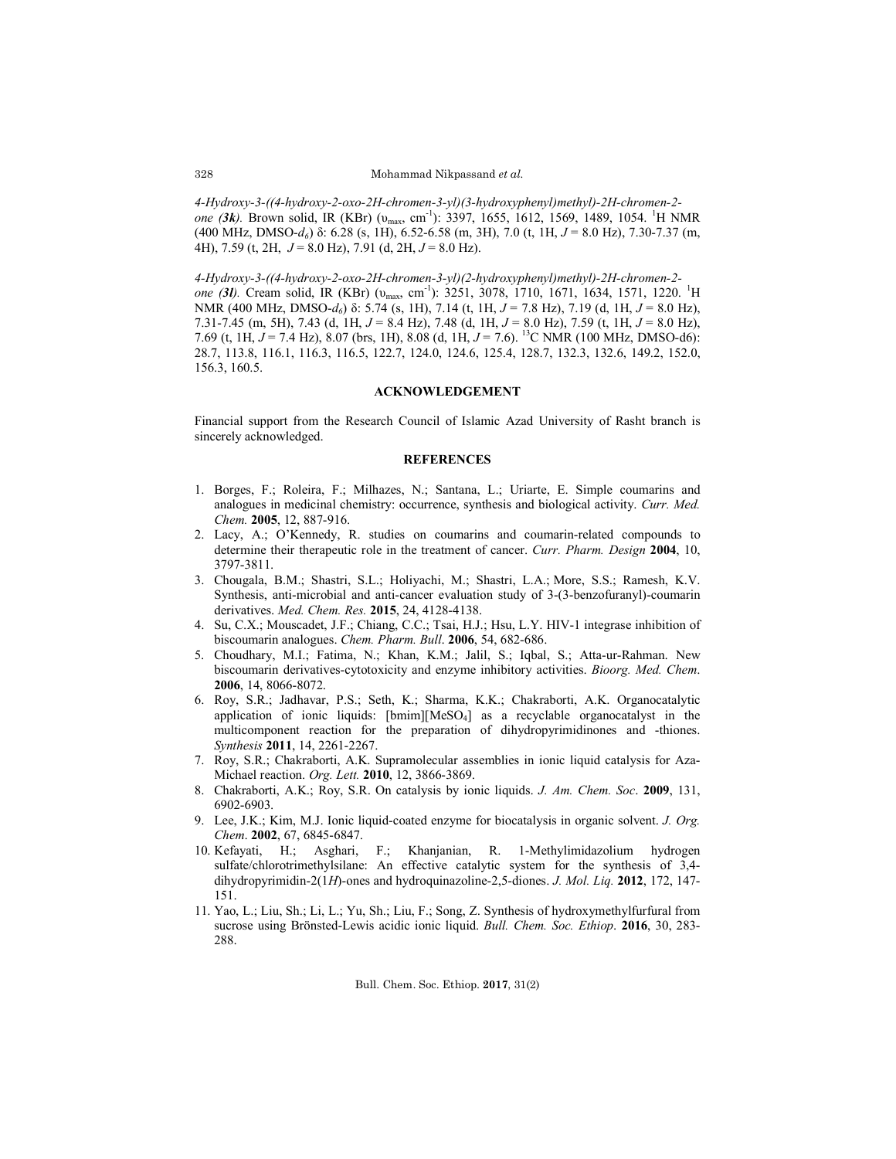*4-Hydroxy-3-((4-hydroxy-2-oxo-2H-chromen-3-yl)(3-hydroxyphenyl)methyl)-2H-chromen-2 one (3k).* Brown solid, IR (KBr) (υmax, cm-1 ): 3397, 1655, 1612, 1569, 1489, 1054. <sup>1</sup> H NMR (400 MHz, DMSO-*d6*) δ: 6.28 (s, 1H), 6.52-6.58 (m, 3H), 7.0 (t, 1H, *J* = 8.0 Hz), 7.30-7.37 (m, 4H), 7.59 (t, 2H, *J* = 8.0 Hz), 7.91 (d, 2H, *J* = 8.0 Hz).

*4-Hydroxy-3-((4-hydroxy-2-oxo-2H-chromen-3-yl)(2-hydroxyphenyl)methyl)-2H-chromen-2 one (3l).* Cream solid, IR (KBr) (υmax, cm-1 ): 3251, 3078, 1710, 1671, 1634, 1571, 1220. <sup>1</sup> H NMR (400 MHz, DMSO-*d6*) δ: 5.74 (s, 1H), 7.14 (t, 1H, *J* = 7.8 Hz), 7.19 (d, 1H, *J* = 8.0 Hz), 7.31-7.45 (m, 5H), 7.43 (d, 1H, *J* = 8.4 Hz), 7.48 (d, 1H, *J* = 8.0 Hz), 7.59 (t, 1H, *J* = 8.0 Hz), 7.69 (t, 1H, *J* = 7.4 Hz), 8.07 (brs, 1H), 8.08 (d, 1H, *J* = 7.6). 13C NMR (100 MHz, DMSO-d6): 28.7, 113.8, 116.1, 116.3, 116.5, 122.7, 124.0, 124.6, 125.4, 128.7, 132.3, 132.6, 149.2, 152.0, 156.3, 160.5.

#### **ACKNOWLEDGEMENT**

Financial support from the Research Council of Islamic Azad University of Rasht branch is sincerely acknowledged.

#### **REFERENCES**

- 1. Borges, F.; Roleira, F.; Milhazes, N.; Santana, L.; Uriarte, E. Simple coumarins and analogues in medicinal chemistry: occurrence, synthesis and biological activity. *Curr. Med. Chem.* **2005**, 12, 887-916.
- 2. Lacy, A.; O'Kennedy, R. studies on coumarins and coumarin-related compounds to determine their therapeutic role in the treatment of cancer. *Curr. Pharm. Design* **2004**, 10, 3797-3811.
- 3. Chougala, B.M.; Shastri, S.L.; Holiyachi, M.; Shastri, L.A.; More, S.S.; Ramesh, K.V. Synthesis, anti-microbial and anti-cancer evaluation study of 3-(3-benzofuranyl)-coumarin derivatives. *Med. Chem. Res.* **2015**, 24, 4128-4138.
- 4. Su, C.X.; Mouscadet, J.F.; Chiang, C.C.; Tsai, H.J.; Hsu, L.Y. HIV-1 integrase inhibition of biscoumarin analogues. *Chem. Pharm. Bull*. **2006**, 54, 682-686.
- 5. Choudhary, M.I.; Fatima, N.; Khan, K.M.; Jalil, S.; Iqbal, S.; Atta-ur-Rahman. New biscoumarin derivatives-cytotoxicity and enzyme inhibitory activities. *Bioorg. Med. Chem*. **2006**, 14, 8066-8072.
- 6. Roy, S.R.; Jadhavar, P.S.; Seth, K.; Sharma, K.K.; Chakraborti, A.K. Organocatalytic application of ionic liquids:  $[bmin][MeSO<sub>4</sub>]$  as a recyclable organocatalyst in the multicomponent reaction for the preparation of dihydropyrimidinones and -thiones. *Synthesis* **2011**, 14, 2261-2267.
- 7. Roy, S.R.; Chakraborti, A.K. Supramolecular assemblies in ionic liquid catalysis for Aza-Michael reaction. *Org. Lett.* **2010**, 12, 3866-3869.
- 8. Chakraborti, A.K.; Roy, S.R. On catalysis by ionic liquids. *J. Am. Chem. Soc*. **2009**, 131, 6902-6903.
- 9. Lee, J.K.; Kim, M.J. Ionic liquid-coated enzyme for biocatalysis in organic solvent. *J. Org. Chem*. **2002**, 67, 6845-6847.
- 10. Kefayati, H.; Asghari, F.; Khanjanian, R. 1-Methylimidazolium hydrogen sulfate/chlorotrimethylsilane: An effective catalytic system for the synthesis of 3,4 dihydropyrimidin-2(1*H*)-ones and hydroquinazoline-2,5-diones. *J. Mol. Liq.* **2012**, 172, 147- 151.
- 11. Yao, L.; Liu, Sh.; Li, L.; Yu, Sh.; Liu, F.; Song, Z. Synthesis of hydroxymethylfurfural from sucrose using Brönsted-Lewis acidic ionic liquid. *Bull. Chem. Soc. Ethiop*. **2016**, 30, 283- 288.